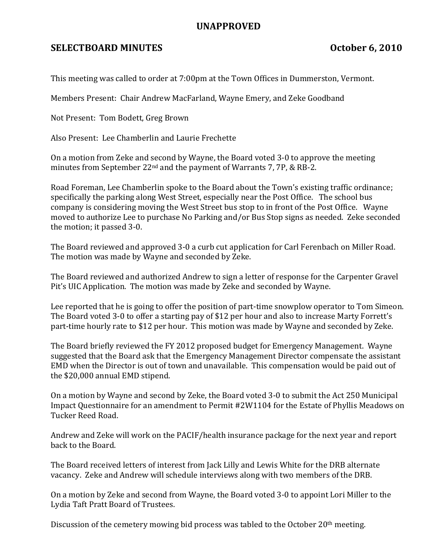## UNAPPROVED

## SELECTBOARD MINUTES October 6, 2010

This meeting was called to order at 7:00pm at the Town Offices in Dummerston, Vermont.

Members Present: Chair Andrew MacFarland, Wayne Emery, and Zeke Goodband

Not Present: Tom Bodett, Greg Brown

Also Present: Lee Chamberlin and Laurie Frechette

On a motion from Zeke and second by Wayne, the Board voted 3-0 to approve the meeting minutes from September 22nd and the payment of Warrants 7, 7P, & RB-2.

Road Foreman, Lee Chamberlin spoke to the Board about the Town's existing traffic ordinance; specifically the parking along West Street, especially near the Post Office. The school bus company is considering moving the West Street bus stop to in front of the Post Office. Wayne moved to authorize Lee to purchase No Parking and/or Bus Stop signs as needed. Zeke seconded the motion; it passed 3-0.

The Board reviewed and approved 3-0 a curb cut application for Carl Ferenbach on Miller Road. The motion was made by Wayne and seconded by Zeke.

The Board reviewed and authorized Andrew to sign a letter of response for the Carpenter Gravel Pit's UIC Application. The motion was made by Zeke and seconded by Wayne.

Lee reported that he is going to offer the position of part-time snowplow operator to Tom Simeon. The Board voted 3-0 to offer a starting pay of \$12 per hour and also to increase Marty Forrett's part-time hourly rate to \$12 per hour. This motion was made by Wayne and seconded by Zeke.

The Board briefly reviewed the FY 2012 proposed budget for Emergency Management. Wayne suggested that the Board ask that the Emergency Management Director compensate the assistant EMD when the Director is out of town and unavailable. This compensation would be paid out of the \$20,000 annual EMD stipend.

On a motion by Wayne and second by Zeke, the Board voted 3-0 to submit the Act 250 Municipal Impact Questionnaire for an amendment to Permit #2W1104 for the Estate of Phyllis Meadows on Tucker Reed Road.

Andrew and Zeke will work on the PACIF/health insurance package for the next year and report back to the Board.

The Board received letters of interest from Jack Lilly and Lewis White for the DRB alternate vacancy. Zeke and Andrew will schedule interviews along with two members of the DRB.

On a motion by Zeke and second from Wayne, the Board voted 3-0 to appoint Lori Miller to the Lydia Taft Pratt Board of Trustees.

Discussion of the cemetery mowing bid process was tabled to the October 20<sup>th</sup> meeting.